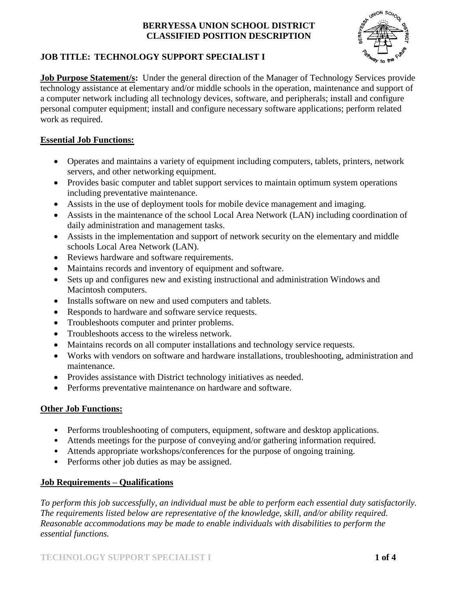

# **JOB TITLE: TECHNOLOGY SUPPORT SPECIALIST I**

**Job Purpose Statement/s:** Under the general direction of the Manager of Technology Services provide technology assistance at elementary and/or middle schools in the operation, maintenance and support of a computer network including all technology devices, software, and peripherals; install and configure personal computer equipment; install and configure necessary software applications; perform related work as required.

## **Essential Job Functions:**

- Operates and maintains a variety of equipment including computers, tablets, printers, network servers, and other networking equipment.
- Provides basic computer and tablet support services to maintain optimum system operations including preventative maintenance.
- Assists in the use of deployment tools for mobile device management and imaging.
- Assists in the maintenance of the school Local Area Network (LAN) including coordination of daily administration and management tasks.
- Assists in the implementation and support of network security on the elementary and middle schools Local Area Network (LAN).
- Reviews hardware and software requirements.
- Maintains records and inventory of equipment and software.
- Sets up and configures new and existing instructional and administration Windows and Macintosh computers.
- Installs software on new and used computers and tablets.
- Responds to hardware and software service requests.
- Troubleshoots computer and printer problems.
- Troubleshoots access to the wireless network.
- Maintains records on all computer installations and technology service requests.
- Works with vendors on software and hardware installations, troubleshooting, administration and maintenance.
- Provides assistance with District technology initiatives as needed.
- Performs preventative maintenance on hardware and software.

### **Other Job Functions:**

- Performs troubleshooting of computers, equipment, software and desktop applications.
- Attends meetings for the purpose of conveying and/or gathering information required.
- Attends appropriate workshops/conferences for the purpose of ongoing training.
- Performs other job duties as may be assigned.

# **Job Requirements – Qualifications**

*To perform this job successfully, an individual must be able to perform each essential duty satisfactorily. The requirements listed below are representative of the knowledge, skill, and/or ability required. Reasonable accommodations may be made to enable individuals with disabilities to perform the essential functions.*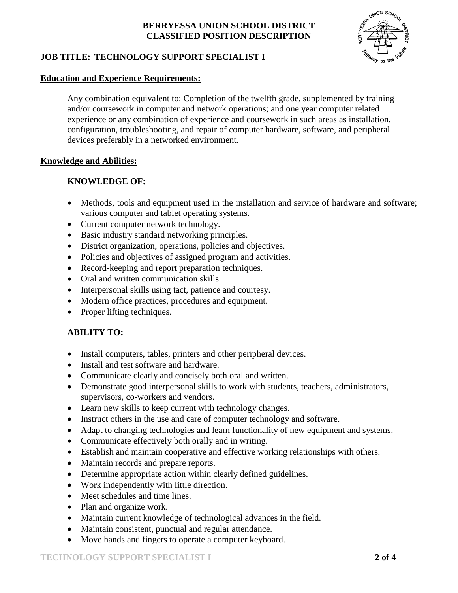

# **JOB TITLE: TECHNOLOGY SUPPORT SPECIALIST I**

#### **Education and Experience Requirements:**

Any combination equivalent to: Completion of the twelfth grade, supplemented by training and/or coursework in computer and network operations; and one year computer related experience or any combination of experience and coursework in such areas as installation, configuration, troubleshooting, and repair of computer hardware, software, and peripheral devices preferably in a networked environment.

#### **Knowledge and Abilities:**

#### **KNOWLEDGE OF:**

- Methods, tools and equipment used in the installation and service of hardware and software; various computer and tablet operating systems.
- Current computer network technology.
- Basic industry standard networking principles.
- District organization, operations, policies and objectives.
- Policies and objectives of assigned program and activities.
- Record-keeping and report preparation techniques.
- Oral and written communication skills.
- Interpersonal skills using tact, patience and courtesy.
- Modern office practices, procedures and equipment.
- Proper lifting techniques.

### **ABILITY TO:**

- Install computers, tables, printers and other peripheral devices.
- Install and test software and hardware.
- Communicate clearly and concisely both oral and written.
- Demonstrate good interpersonal skills to work with students, teachers, administrators, supervisors, co-workers and vendors.
- Learn new skills to keep current with technology changes.
- Instruct others in the use and care of computer technology and software.
- Adapt to changing technologies and learn functionality of new equipment and systems.
- Communicate effectively both orally and in writing.
- Establish and maintain cooperative and effective working relationships with others.
- Maintain records and prepare reports.
- Determine appropriate action within clearly defined guidelines.
- Work independently with little direction.
- Meet schedules and time lines.
- Plan and organize work.
- Maintain current knowledge of technological advances in the field.
- Maintain consistent, punctual and regular attendance.
- Move hands and fingers to operate a computer keyboard.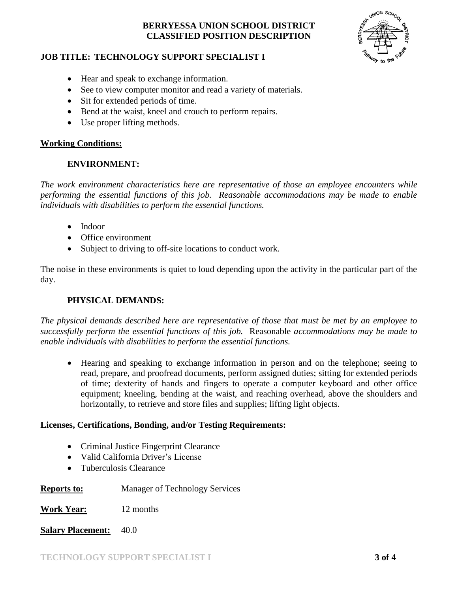

### **JOB TITLE: TECHNOLOGY SUPPORT SPECIALIST I**

- Hear and speak to exchange information.
- See to view computer monitor and read a variety of materials.
- Sit for extended periods of time.
- Bend at the waist, kneel and crouch to perform repairs.
- Use proper lifting methods.

### **Working Conditions:**

### **ENVIRONMENT:**

*The work environment characteristics here are representative of those an employee encounters while performing the essential functions of this job. Reasonable accommodations may be made to enable individuals with disabilities to perform the essential functions.*

- Indoor
- Office environment
- Subject to driving to off-site locations to conduct work.

The noise in these environments is quiet to loud depending upon the activity in the particular part of the day.

# **PHYSICAL DEMANDS:**

*The physical demands described here are representative of those that must be met by an employee to successfully perform the essential functions of this job.* Reasonable *accommodations may be made to enable individuals with disabilities to perform the essential functions.*

 Hearing and speaking to exchange information in person and on the telephone; seeing to read, prepare, and proofread documents, perform assigned duties; sitting for extended periods of time; dexterity of hands and fingers to operate a computer keyboard and other office equipment; kneeling, bending at the waist, and reaching overhead, above the shoulders and horizontally, to retrieve and store files and supplies; lifting light objects.

### **Licenses, Certifications, Bonding, and/or Testing Requirements:**

- Criminal Justice Fingerprint Clearance
- Valid California Driver's License
- Tuberculosis Clearance

### **Reports to:** Manager of Technology Services

**Work Year:** 12 months

**Salary Placement:** 40.0